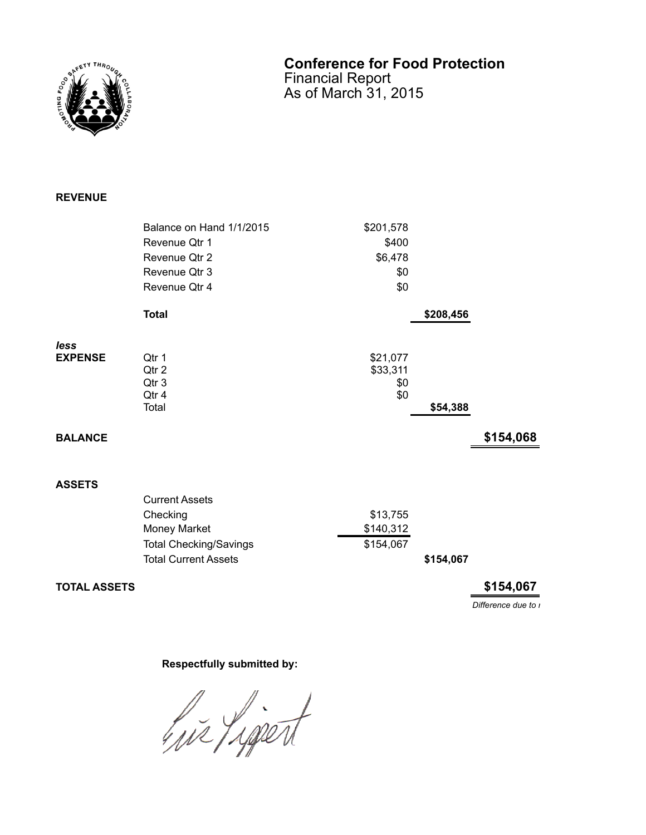

## **Conference for Food Protection** Financial Report

As of March 31, 2015

## **REVENUE**

|                | Balance on Hand 1/1/2015      | \$201,578       |           |           |
|----------------|-------------------------------|-----------------|-----------|-----------|
|                | Revenue Qtr 1                 | \$400           |           |           |
|                | Revenue Qtr 2                 | \$6,478         |           |           |
|                | Revenue Qtr 3                 | \$0             |           |           |
|                | Revenue Qtr 4                 | \$0             |           |           |
|                | <b>Total</b>                  |                 | \$208,456 |           |
| less           |                               |                 |           |           |
| <b>EXPENSE</b> | Qtr 1                         | \$21,077        |           |           |
|                | Qtr 2<br>Qtr 3                | \$33,311<br>\$0 |           |           |
|                | Qtr 4                         | \$0             |           |           |
|                | Total                         |                 | \$54,388  |           |
| <b>BALANCE</b> |                               |                 |           | \$154,068 |
|                |                               |                 |           |           |
| <b>ASSETS</b>  |                               |                 |           |           |
|                | <b>Current Assets</b>         |                 |           |           |
|                |                               |                 |           |           |
|                | Checking                      | \$13,755        |           |           |
|                | Money Market                  | \$140,312       |           |           |
|                | <b>Total Checking/Savings</b> | \$154,067       |           |           |

Total Current Assets **\$154,067** 

**TOTAL ASSETS \$154,067**

*Difference due to r* 

## **Respectfully submitted by:**

hir Ligert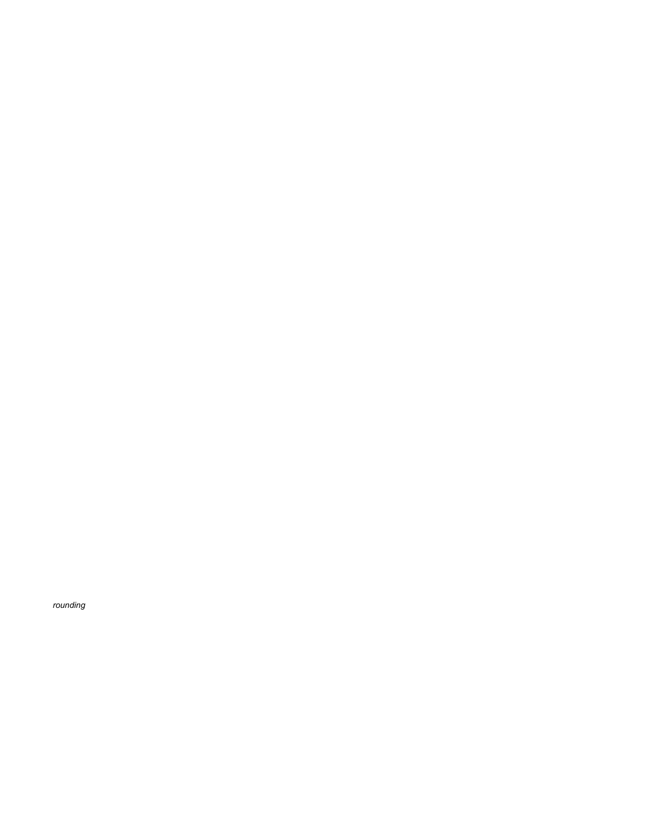$rounding$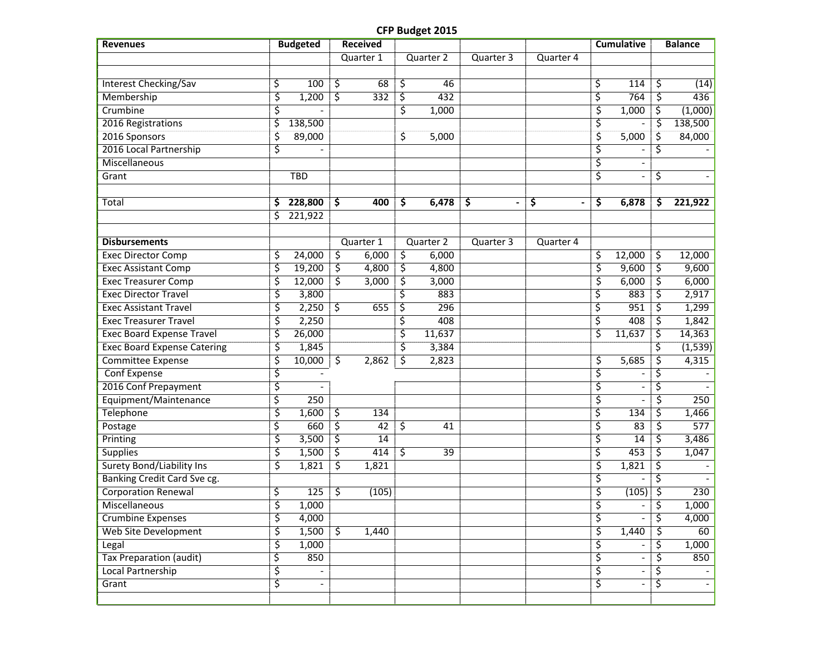## **CFP Budget 2015**

| <b>Revenues</b>                    | <b>Budgeted</b>                |                        | <b>Received</b> |              |           |           |    | <b>Cumulative</b>        | <b>Balance</b> |
|------------------------------------|--------------------------------|------------------------|-----------------|--------------|-----------|-----------|----|--------------------------|----------------|
|                                    |                                |                        | Quarter 1       | Quarter 2    | Quarter 3 | Quarter 4 |    |                          |                |
|                                    |                                |                        |                 |              |           |           |    |                          |                |
| <b>Interest Checking/Sav</b>       | \$<br>100                      | \$                     | 68              | \$<br>46     |           |           | \$ | 114                      | \$<br>(14)     |
| Membership                         | \$<br>1,200                    | \$                     | 332             | \$<br>432    |           |           | ξ  | 764                      | \$<br>436      |
| Crumbine                           | \$                             |                        |                 | \$<br>1,000  |           |           | \$ | 1,000                    | \$<br>(1,000)  |
| 2016 Registrations                 | \$<br>138,500                  |                        |                 |              |           |           | \$ |                          | \$<br>138,500  |
| 2016 Sponsors                      | \$<br>89,000                   |                        |                 | \$<br>5,000  |           |           | \$ | 5,000                    | \$<br>84,000   |
| 2016 Local Partnership             | \$                             |                        |                 |              |           |           | \$ |                          | \$             |
| Miscellaneous                      |                                |                        |                 |              |           |           | \$ |                          |                |
| Grant                              | <b>TBD</b>                     |                        |                 |              |           |           | \$ |                          | \$             |
|                                    |                                |                        |                 |              |           |           |    |                          |                |
| Total                              | \$<br>228,800                  | \$                     | 400             | \$<br>6,478  | \$        | \$        | \$ | 6,878                    | \$<br>221,922  |
|                                    | \$<br>221,922                  |                        |                 |              |           |           |    |                          |                |
|                                    |                                |                        |                 |              |           |           |    |                          |                |
| <b>Disbursements</b>               |                                |                        | Quarter 1       | Quarter 2    | Quarter 3 | Quarter 4 |    |                          |                |
| <b>Exec Director Comp</b>          | \$<br>24,000                   | \$                     | 6,000           | \$<br>6,000  |           |           | \$ | 12,000                   | \$<br>12,000   |
| <b>Exec Assistant Comp</b>         | \$<br>19,200                   | $\overline{\varsigma}$ | 4,800           | \$<br>4,800  |           |           | \$ | 9,600                    | \$<br>9,600    |
| <b>Exec Treasurer Comp</b>         | \$<br>12,000                   | 3                      | 3,000           | \$<br>3,000  |           |           | \$ | 6,000                    | \$<br>6,000    |
| <b>Exec Director Travel</b>        | \$<br>3,800                    |                        |                 | \$<br>883    |           |           | \$ | 883                      | \$<br>2,917    |
| <b>Exec Assistant Travel</b>       | \$<br>2,250                    | \$                     | 655             | \$<br>296    |           |           | \$ | 951                      | \$<br>1,299    |
| <b>Exec Treasurer Travel</b>       | \$<br>2,250                    |                        |                 | \$<br>408    |           |           | \$ | 408                      | \$<br>1,842    |
| <b>Exec Board Expense Travel</b>   | \$<br>26,000                   |                        |                 | \$<br>11,637 |           |           | ζ  | 11,637                   | \$<br>14,363   |
| <b>Exec Board Expense Catering</b> | \$<br>1,845                    |                        |                 | \$<br>3,384  |           |           |    |                          | \$<br>(1, 539) |
| Committee Expense                  | \$<br>10,000                   | \$                     | 2,862           | \$<br>2,823  |           |           | \$ | 5,685                    | \$<br>4,315    |
| Conf Expense                       | \$                             |                        |                 |              |           |           | \$ |                          | \$             |
| 2016 Conf Prepayment               | \$                             |                        |                 |              |           |           | \$ | $\overline{\phantom{a}}$ | \$             |
| Equipment/Maintenance              | \$<br>250                      |                        |                 |              |           |           | \$ |                          | \$<br>250      |
| <b>Telephone</b>                   | \$<br>1,600                    | \$                     | 134             |              |           |           | \$ | 134                      | \$<br>1,466    |
| Postage                            | \$<br>660                      | \$                     | 42              | \$<br>41     |           |           | \$ | 83                       | \$<br>577      |
| Printing                           | \$<br>3,500                    | \$                     | 14              |              |           |           | ζ  | 14                       | \$<br>3,486    |
| <b>Supplies</b>                    | \$<br>1,500                    | \$                     | 414             | \$<br>39     |           |           | \$ | 453                      | \$<br>1,047    |
| <b>Surety Bond/Liability Ins</b>   | \$<br>1,821                    | \$                     | 1,821           |              |           |           | \$ | 1,821                    | \$             |
| <b>Banking Credit Card Sve cg.</b> |                                |                        |                 |              |           |           | \$ |                          | \$             |
| <b>Corporation Renewal</b>         | \$<br>125                      | \$                     | (105)           |              |           |           | \$ | (105)                    | \$<br>230      |
| Miscellaneous                      | \$<br>1,000                    |                        |                 |              |           |           | \$ | $\overline{\phantom{a}}$ | \$<br>1,000    |
| <b>Crumbine Expenses</b>           | \$<br>4,000                    |                        |                 |              |           |           | ζ. |                          | \$<br>4,000    |
| <b>Web Site Development</b>        | \$<br>1,500                    | <u>र्</u>              | 1,440           |              |           |           | \$ | 1,440                    | \$<br>60       |
| Legal                              | \$<br>1,000                    |                        |                 |              |           |           | \$ |                          | \$<br>1,000    |
| <b>Tax Preparation (audit)</b>     | \$<br>850                      |                        |                 |              |           |           | \$ | $\overline{\phantom{a}}$ | \$<br>850      |
| Local Partnership                  | \$                             |                        |                 |              |           |           | \$ | $\overline{\phantom{a}}$ | \$             |
| Grant                              | \$<br>$\overline{\phantom{a}}$ |                        |                 |              |           |           | \$ | $\overline{\phantom{a}}$ | \$             |
|                                    |                                |                        |                 |              |           |           |    |                          |                |